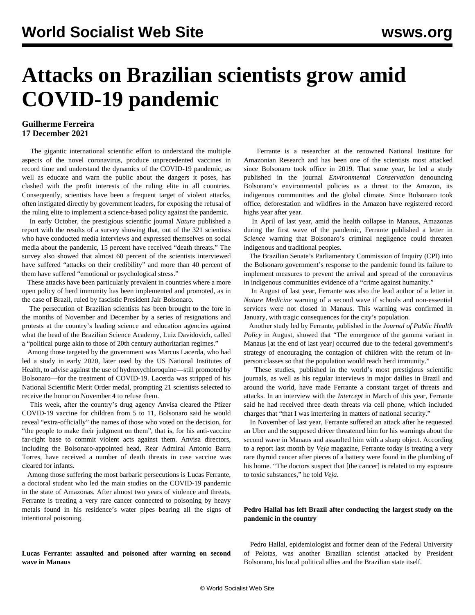# **Attacks on Brazilian scientists grow amid COVID-19 pandemic**

### **Guilherme Ferreira 17 December 2021**

 The gigantic international scientific effort to understand the multiple aspects of the novel coronavirus, produce unprecedented vaccines in record time and understand the dynamics of the COVID-19 pandemic, as well as educate and warn the public about the dangers it poses, has clashed with the profit interests of the ruling elite in all countries. Consequently, scientists have been a frequent target of violent attacks, often instigated directly by government leaders, for exposing the refusal of the ruling elite to implement a science-based policy against the pandemic.

 In early October, the prestigious scientific journal *Nature* published a [report](https://www.nature.com/articles/d41586-021-02741-x) with the results of a survey showing that, out of the 321 scientists who have conducted media interviews and expressed themselves on social media about the pandemic, 15 percent have received "death threats." The survey also showed that almost 60 percent of the scientists interviewed have suffered "attacks on their credibility" and more than 40 percent of them have suffered "emotional or psychological stress."

 These attacks have been particularly prevalent in countries where a more open policy of herd immunity has been implemented and promoted, as in the case of Brazil, ruled by fascistic President Jair Bolsonaro.

 The persecution of Brazilian scientists has been brought to the fore in the months of November and December by a series of resignations and protests at the country's leading science and education agencies against what the head of the Brazilian Science Academy, Luiz Davidovich, called a "political purge akin to those of 20th century authoritarian regimes."

 Among those targeted by the government was Marcus Lacerda, who had led a study in early 2020, later used by the US National Institutes of Health, to advise against the use of hydroxychloroquine—still promoted by Bolsonaro—for the treatment of COVID-19. Lacerda was stripped of his National Scientific Merit Order medal, prompting 21 scientists selected to receive the honor on November 4 to refuse them.

 This week, after the country's drug agency Anvisa cleared the Pfizer COVID-19 vaccine for children from 5 to 11, Bolsonaro said he would reveal "extra-officially" the names of those who voted on the decision, for "the people to make their judgment on them", that is, for his anti-vaccine far-right base to commit violent acts against them. Anvisa directors, including the Bolsonaro-appointed head, Rear Admiral Antonio Barra Torres, have received a number of death threats in case vaccine was cleared for infants.

 Among those suffering the most barbaric persecutions is Lucas Ferrante, a doctoral student who led the main studies on the COVID-19 pandemic in the state of Amazonas. After almost two years of violence and threats, Ferrante is treating a very rare cancer connected to poisoning by heavy metals found in his residence's water pipes bearing all the signs of intentional poisoning.

**Lucas Ferrante: assaulted and poisoned after warning on second wave in Manaus**

 Ferrante is a researcher at the renowned National Institute for Amazonian Research and has been one of the scientists most attacked since Bolsonaro took office in 2019. That same year, he led a [study](https://www.cambridge.org/core/journals/environmental-conservation/article/brazils-new-president-and-ruralists-threaten-amazonias-environment-traditional-peoples-and-the-global-climate/F5C1E42BF9F6E6BDDB957B87601FC4F7) published in the journal *Environmental Conservation* denouncing Bolsonaro's environmental policies as a threat to the Amazon, its indigenous communities and the global climate. Since Bolsonaro took office, deforestation and wildfires in the Amazon have registered record highs year after year.

 In April of last year, amid the health collapse in Manaus, Amazonas during the first wave of the pandemic, Ferrante published a [letter](https://www.science.org/doi/10.1126/science.abc0073) in *Science* warning that Bolsonaro's criminal negligence could threaten indigenous and traditional peoples.

 The Brazilian Senate's Parliamentary Commission of Inquiry (CPI) into the Bolsonaro government's response to the pandemic found its failure to implement measures to prevent the arrival and spread of the coronavirus in indigenous communities evidence of a "crime against humanity."

 In August of last year, Ferrante was also the lead author of a [letter](https://www.nature.com/articles/s41591-020-1026-x) in *Nature Medicine* warning of a second wave if schools and non-essential services were not closed in Manaus. This warning was confirmed in January, with tragic consequences for the city's population.

 Another [study](https://link.springer.com/article/10.1057/s41271-021-00302-0) led by Ferrante, published in the *Journal of Public Health Policy* in August, showed that "The emergence of the gamma variant in Manaus [at the end of last year] occurred due to the federal government's strategy of encouraging the contagion of children with the return of inperson classes so that the population would reach herd immunity."

 These studies, published in the world's most prestigious scientific journals, as well as his regular interviews in major dailies in Brazil and around the world, have made Ferrante a constant target of threats and attacks. In an interview with the *Intercept* in March of this year, Ferrante said he had received three death threats via cell phone, which included charges that "that I was interfering in matters of national security."

 In November of last year, Ferrante suffered an attack after he requested an Uber and the supposed driver threatened him for his warnings about the second wave in Manaus and assaulted him with a sharp object. According to a report last month by *Veja* magazine, Ferrante today is treating a very rare thyroid cancer after pieces of a battery were found in the plumbing of his home. "The doctors suspect that [the cancer] is related to my exposure to toxic substances," he told *Veja*.

#### **Pedro Hallal has left Brazil after conducting the largest study on the pandemic in the country**

 Pedro Hallal, epidemiologist and former dean of the Federal University of Pelotas, was another Brazilian scientist attacked by President Bolsonaro, his local political allies and the Brazilian state itself.